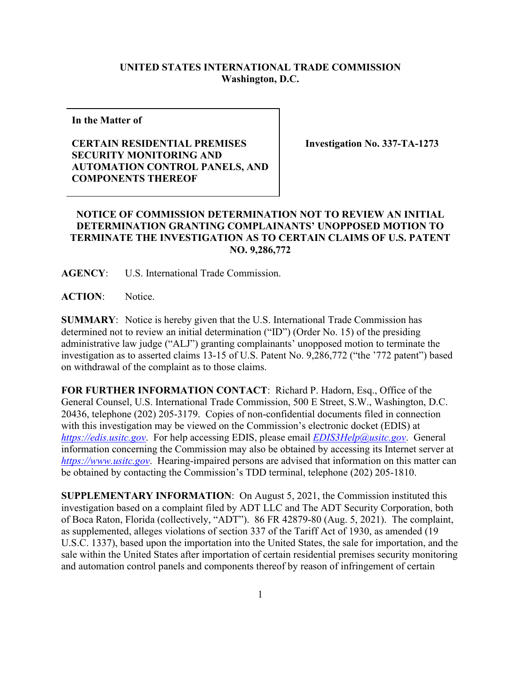## **UNITED STATES INTERNATIONAL TRADE COMMISSION Washington, D.C.**

**In the Matter of**

## **CERTAIN RESIDENTIAL PREMISES SECURITY MONITORING AND AUTOMATION CONTROL PANELS, AND COMPONENTS THEREOF**

**Investigation No. 337-TA-1273**

## **NOTICE OF COMMISSION DETERMINATION NOT TO REVIEW AN INITIAL DETERMINATION GRANTING COMPLAINANTS' UNOPPOSED MOTION TO TERMINATE THE INVESTIGATION AS TO CERTAIN CLAIMS OF U.S. PATENT NO. 9,286,772**

**AGENCY**: U.S. International Trade Commission.

**ACTION**: Notice.

**SUMMARY**: Notice is hereby given that the U.S. International Trade Commission has determined not to review an initial determination ("ID") (Order No. 15) of the presiding administrative law judge ("ALJ") granting complainants' unopposed motion to terminate the investigation as to asserted claims 13-15 of U.S. Patent No. 9,286,772 ("the '772 patent") based on withdrawal of the complaint as to those claims.

**FOR FURTHER INFORMATION CONTACT**: Richard P. Hadorn, Esq., Office of the General Counsel, U.S. International Trade Commission, 500 E Street, S.W., Washington, D.C. 20436, telephone (202) 205-3179. Copies of non-confidential documents filed in connection with this investigation may be viewed on the Commission's electronic docket (EDIS) at *[https://edis.usitc.gov](https://edis.usitc.gov/)*. For help accessing EDIS, please email *[EDIS3Help@usitc.gov](mailto:EDIS3Help@usitc.gov)*. General information concerning the Commission may also be obtained by accessing its Internet server at *[https://www.usitc.gov](https://www.usitc.gov/)*. Hearing-impaired persons are advised that information on this matter can be obtained by contacting the Commission's TDD terminal, telephone (202) 205-1810.

**SUPPLEMENTARY INFORMATION**: On August 5, 2021, the Commission instituted this investigation based on a complaint filed by ADT LLC and The ADT Security Corporation, both of Boca Raton, Florida (collectively, "ADT"). 86 FR 42879-80 (Aug. 5, 2021). The complaint, as supplemented, alleges violations of section 337 of the Tariff Act of 1930, as amended (19 U.S.C. 1337), based upon the importation into the United States, the sale for importation, and the sale within the United States after importation of certain residential premises security monitoring and automation control panels and components thereof by reason of infringement of certain